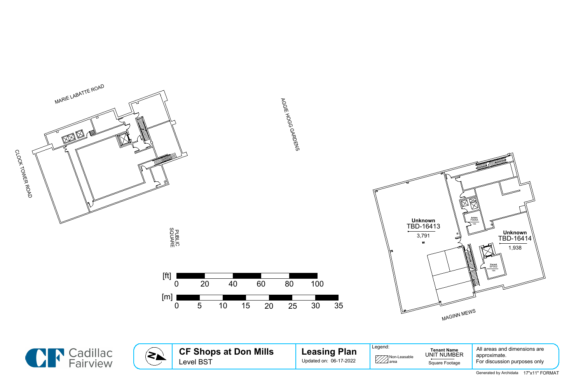







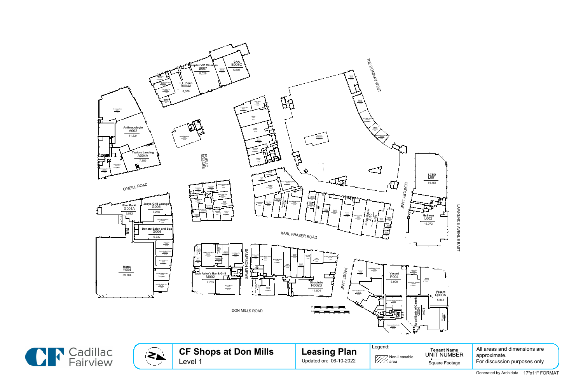









LAWRENCE AVENUE EAST